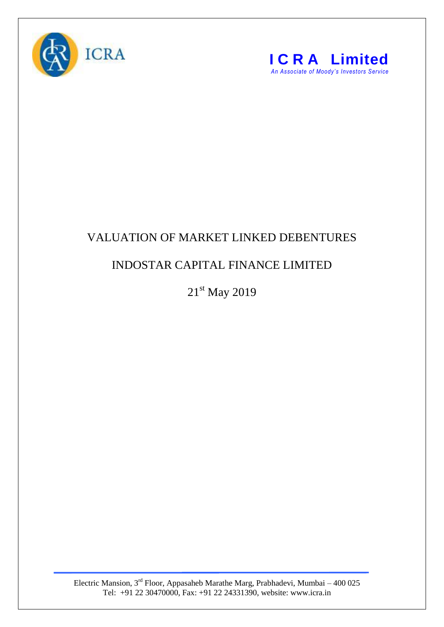



## VALUATION OF MARKET LINKED DEBENTURES

## INDOSTAR CAPITAL FINANCE LIMITED

21st May 2019